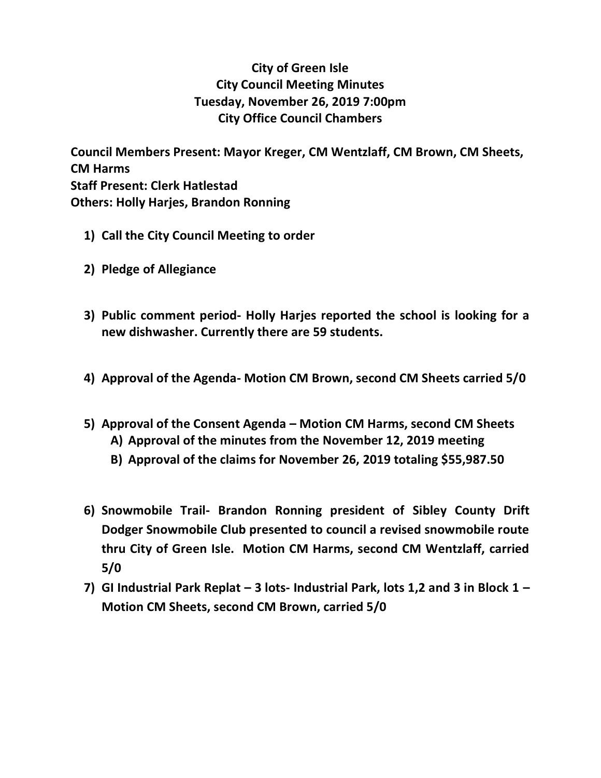## **City of Green Isle City Council Meeting Minutes Tuesday, November 26, 2019 7:00pm City Office Council Chambers**

**Council Members Present: Mayor Kreger, CM Wentzlaff, CM Brown, CM Sheets, CM Harms Staff Present: Clerk Hatlestad Others: Holly Harjes, Brandon Ronning**

- **1) Call the City Council Meeting to order**
- **2) Pledge of Allegiance**
- **3) Public comment period- Holly Harjes reported the school is looking for a new dishwasher. Currently there are 59 students.**
- **4) Approval of the Agenda- Motion CM Brown, second CM Sheets carried 5/0**
- **5) Approval of the Consent Agenda – Motion CM Harms, second CM Sheets**
	- **A) Approval of the minutes from the November 12, 2019 meeting**
	- **B) Approval of the claims for November 26, 2019 totaling \$55,987.50**
- **6) Snowmobile Trail- Brandon Ronning president of Sibley County Drift Dodger Snowmobile Club presented to council a revised snowmobile route thru City of Green Isle. Motion CM Harms, second CM Wentzlaff, carried 5/0**
- **7) GI Industrial Park Replat – 3 lots- Industrial Park, lots 1,2 and 3 in Block 1 – Motion CM Sheets, second CM Brown, carried 5/0**